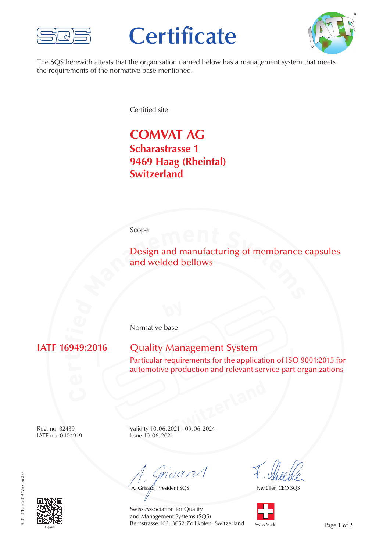

# **Certificate**



The SQS herewith attests that the organisation named below has a management system that meets the requirements of the normative base mentioned.

Certified site

## **COMVAT AG Scharastrasse 1 9469 Haag (Rheintal) Switzerland**

#### Scope

Example 1<br> **Design and manufacturing of membrance of and welded bellows** Design and manufacturing of membrance capsules and welded bellows

Normative base

**if**

### **Quality Management System**

Particular requirements for the application of ISO 9001:2015 for automotive production and relevant service part organizations

IATF no. 0404919

**SWITZER 1994** Reg. no. 32439 Validity 10.06.2021 – 09.06.2024<br>
IATF no. 0404919 Issue 10.06.2021

mdan

A. Grisard, President SQS

F. Müller, CEO SQS





Swiss Association for Quality and Management Systems (SQS) Bernstrasse 103, 3052 Zollikofen, Switzerland